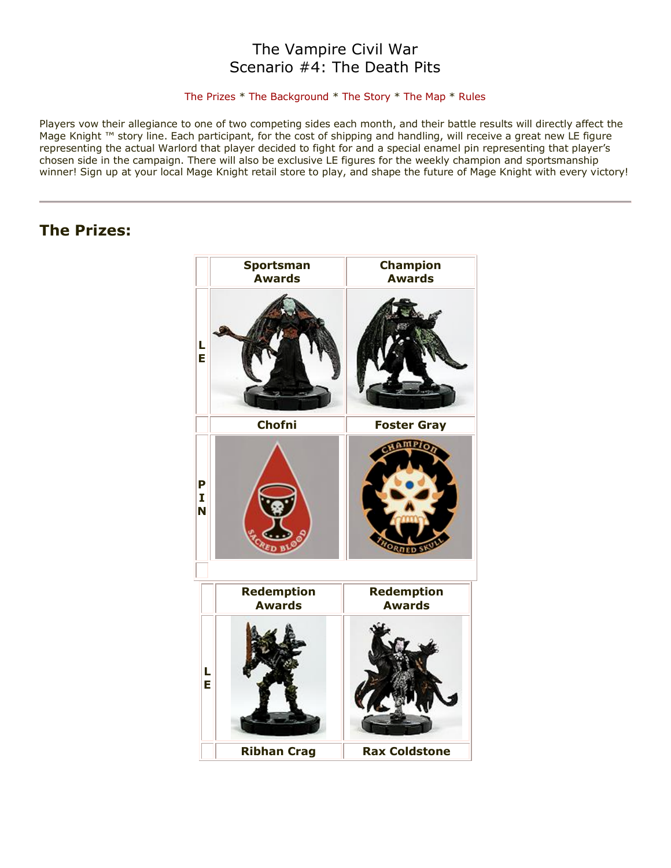# The Vampire Civil War Scenario #4: The Death Pits

### [The Prizes](http://www.wizkidsgames.com/mageknight/article.asp?cid=36991&frame=Talesfromtheland#prizes#prizes) \* [The Background](http://www.wizkidsgames.com/mageknight/article.asp?cid=36991&frame=Talesfromtheland#background#background) \* [The Story](http://www.wizkidsgames.com/mageknight/article.asp?cid=36991&frame=Talesfromtheland#story#story) \* [The Map](http://www.wizkidsgames.com/mageknight/article.asp?cid=36991&frame=Talesfromtheland#map#map) \* [Rules](http://www.wizkidsgames.com/mageknight/article.asp?cid=36991&frame=Talesfromtheland#week#week)

Players vow their allegiance to one of two competing sides each month, and their battle results will directly affect the Mage Knight ™ story line. Each participant, for the cost of shipping and handling, will receive a great new LE figure representing the actual Warlord that player decided to fight for and a special enamel pin representing that player's chosen side in the campaign. There will also be exclusive LE figures for the weekly champion and sportsmanship winner! Sign up at your local Mage Knight retail store to play, and shape the future of Mage Knight with every victory!

# **The Prizes:**

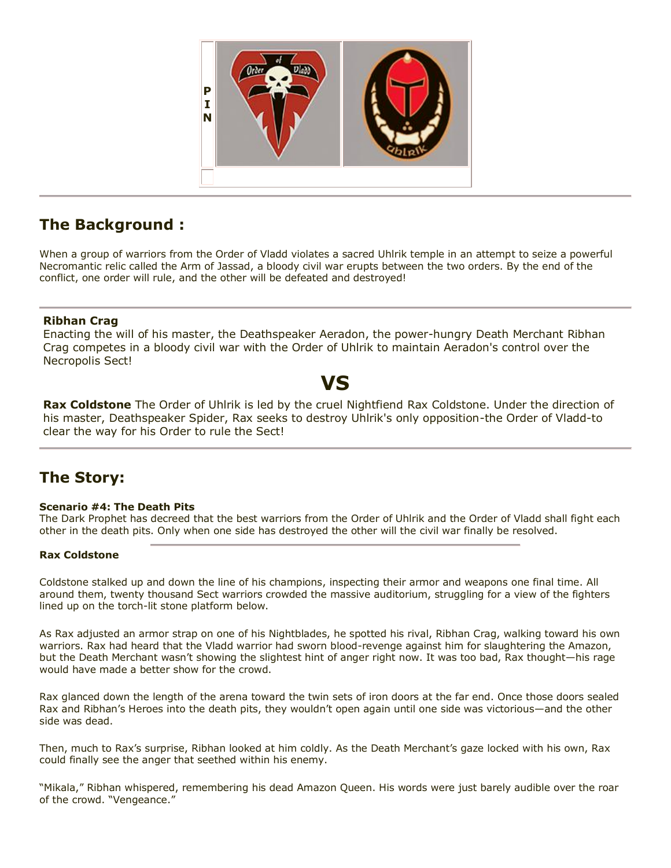

# **The Background :**

When a group of warriors from the Order of Vladd violates a sacred Uhlrik temple in an attempt to seize a powerful Necromantic relic called the Arm of Jassad, a bloody civil war erupts between the two orders. By the end of the conflict, one order will rule, and the other will be defeated and destroyed!

## **Ribhan Crag**

Enacting the will of his master, the Deathspeaker Aeradon, the power-hungry Death Merchant Ribhan Crag competes in a bloody civil war with the Order of Uhlrik to maintain Aeradon's control over the Necropolis Sect!

# **VS**

**Rax Coldstone** The Order of Uhlrik is led by the cruel Nightfiend Rax Coldstone. Under the direction of his master, Deathspeaker Spider, Rax seeks to destroy Uhlrik's only opposition-the Order of Vladd-to clear the way for his Order to rule the Sect!

# **The Story:**

## **Scenario #4: The Death Pits**

The Dark Prophet has decreed that the best warriors from the Order of Uhlrik and the Order of Vladd shall fight each other in the death pits. Only when one side has destroyed the other will the civil war finally be resolved.

## **Rax Coldstone**

Coldstone stalked up and down the line of his champions, inspecting their armor and weapons one final time. All around them, twenty thousand Sect warriors crowded the massive auditorium, struggling for a view of the fighters lined up on the torch-lit stone platform below.

As Rax adjusted an armor strap on one of his Nightblades, he spotted his rival, Ribhan Crag, walking toward his own warriors. Rax had heard that the Vladd warrior had sworn blood-revenge against him for slaughtering the Amazon, but the Death Merchant wasn't showing the slightest hint of anger right now. It was too bad, Rax thought—his rage would have made a better show for the crowd.

Rax glanced down the length of the arena toward the twin sets of iron doors at the far end. Once those doors sealed Rax and Ribhan's Heroes into the death pits, they wouldn't open again until one side was victorious—and the other side was dead.

Then, much to Rax's surprise, Ribhan looked at him coldly. As the Death Merchant's gaze locked with his own, Rax could finally see the anger that seethed within his enemy.

"Mikala," Ribhan whispered, remembering his dead Amazon Queen. His words were just barely audible over the roar of the crowd. "Vengeance."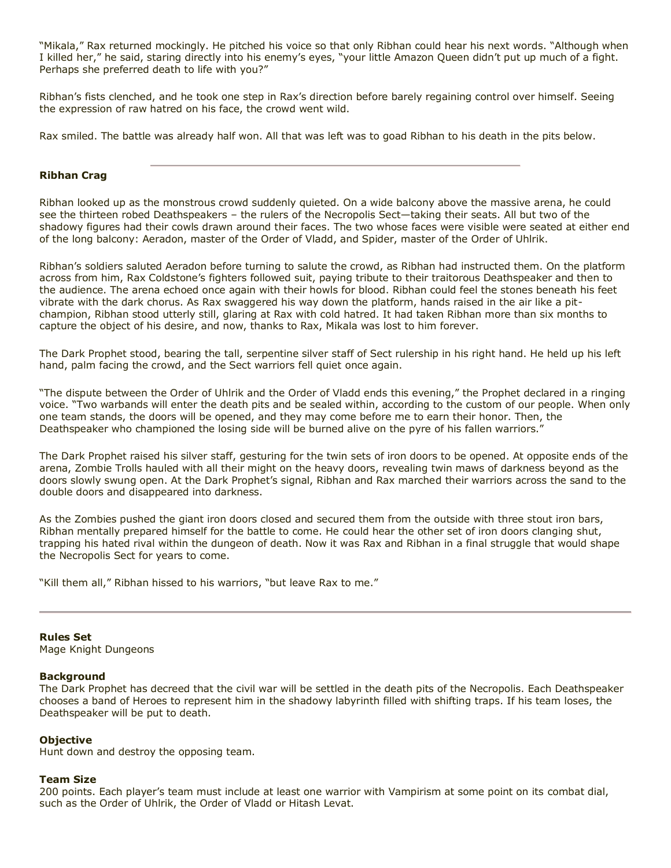"Mikala," Rax returned mockingly. He pitched his voice so that only Ribhan could hear his next words. "Although when I killed her," he said, staring directly into his enemy's eyes, "your little Amazon Queen didn't put up much of a fight. Perhaps she preferred death to life with you?"

Ribhan's fists clenched, and he took one step in Rax's direction before barely regaining control over himself. Seeing the expression of raw hatred on his face, the crowd went wild.

Rax smiled. The battle was already half won. All that was left was to goad Ribhan to his death in the pits below.

#### **Ribhan Crag**

Ribhan looked up as the monstrous crowd suddenly quieted. On a wide balcony above the massive arena, he could see the thirteen robed Deathspeakers – the rulers of the Necropolis Sect—taking their seats. All but two of the shadowy figures had their cowls drawn around their faces. The two whose faces were visible were seated at either end of the long balcony: Aeradon, master of the Order of Vladd, and Spider, master of the Order of Uhlrik.

Ribhan's soldiers saluted Aeradon before turning to salute the crowd, as Ribhan had instructed them. On the platform across from him, Rax Coldstone's fighters followed suit, paying tribute to their traitorous Deathspeaker and then to the audience. The arena echoed once again with their howls for blood. Ribhan could feel the stones beneath his feet vibrate with the dark chorus. As Rax swaggered his way down the platform, hands raised in the air like a pitchampion, Ribhan stood utterly still, glaring at Rax with cold hatred. It had taken Ribhan more than six months to capture the object of his desire, and now, thanks to Rax, Mikala was lost to him forever.

The Dark Prophet stood, bearing the tall, serpentine silver staff of Sect rulership in his right hand. He held up his left hand, palm facing the crowd, and the Sect warriors fell quiet once again.

"The dispute between the Order of Uhlrik and the Order of Vladd ends this evening," the Prophet declared in a ringing voice. "Two warbands will enter the death pits and be sealed within, according to the custom of our people. When only one team stands, the doors will be opened, and they may come before me to earn their honor. Then, the Deathspeaker who championed the losing side will be burned alive on the pyre of his fallen warriors."

The Dark Prophet raised his silver staff, gesturing for the twin sets of iron doors to be opened. At opposite ends of the arena, Zombie Trolls hauled with all their might on the heavy doors, revealing twin maws of darkness beyond as the doors slowly swung open. At the Dark Prophet's signal, Ribhan and Rax marched their warriors across the sand to the double doors and disappeared into darkness.

As the Zombies pushed the giant iron doors closed and secured them from the outside with three stout iron bars, Ribhan mentally prepared himself for the battle to come. He could hear the other set of iron doors clanging shut, trapping his hated rival within the dungeon of death. Now it was Rax and Ribhan in a final struggle that would shape the Necropolis Sect for years to come.

"Kill them all," Ribhan hissed to his warriors, "but leave Rax to me."

**Rules Set**

Mage Knight Dungeons

#### **Background**

The Dark Prophet has decreed that the civil war will be settled in the death pits of the Necropolis. Each Deathspeaker chooses a band of Heroes to represent him in the shadowy labyrinth filled with shifting traps. If his team loses, the Deathspeaker will be put to death.

#### **Objective**

Hunt down and destroy the opposing team.

#### **Team Size**

200 points. Each player's team must include at least one warrior with Vampirism at some point on its combat dial, such as the Order of Uhlrik, the Order of Vladd or Hitash Levat.